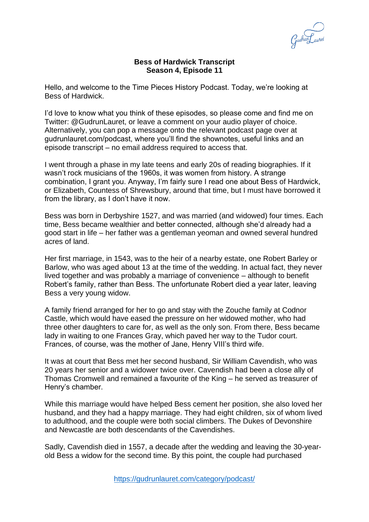

## **Bess of Hardwick Transcript Season 4, Episode 11**

Hello, and welcome to the Time Pieces History Podcast. Today, we're looking at Bess of Hardwick.

I'd love to know what you think of these episodes, so please come and find me on Twitter: @GudrunLauret, or leave a comment on your audio player of choice. Alternatively, you can pop a message onto the relevant podcast page over at gudrunlauret.com/podcast, where you'll find the shownotes, useful links and an episode transcript – no email address required to access that.

I went through a phase in my late teens and early 20s of reading biographies. If it wasn't rock musicians of the 1960s, it was women from history. A strange combination, I grant you. Anyway, I'm fairly sure I read one about Bess of Hardwick, or Elizabeth, Countess of Shrewsbury, around that time, but I must have borrowed it from the library, as I don't have it now.

Bess was born in Derbyshire 1527, and was married (and widowed) four times. Each time, Bess became wealthier and better connected, although she'd already had a good start in life – her father was a gentleman yeoman and owned several hundred acres of land.

Her first marriage, in 1543, was to the heir of a nearby estate, one Robert Barley or Barlow, who was aged about 13 at the time of the wedding. In actual fact, they never lived together and was probably a marriage of convenience – although to benefit Robert's family, rather than Bess. The unfortunate Robert died a year later, leaving Bess a very young widow.

A family friend arranged for her to go and stay with the Zouche family at Codnor Castle, which would have eased the pressure on her widowed mother, who had three other daughters to care for, as well as the only son. From there, Bess became lady in waiting to one Frances Gray, which paved her way to the Tudor court. Frances, of course, was the mother of Jane, Henry VIII's third wife.

It was at court that Bess met her second husband, Sir William Cavendish, who was 20 years her senior and a widower twice over. Cavendish had been a close ally of Thomas Cromwell and remained a favourite of the King – he served as treasurer of Henry's chamber.

While this marriage would have helped Bess cement her position, she also loved her husband, and they had a happy marriage. They had eight children, six of whom lived to adulthood, and the couple were both social climbers. The Dukes of Devonshire and Newcastle are both descendants of the Cavendishes.

Sadly, Cavendish died in 1557, a decade after the wedding and leaving the 30-yearold Bess a widow for the second time. By this point, the couple had purchased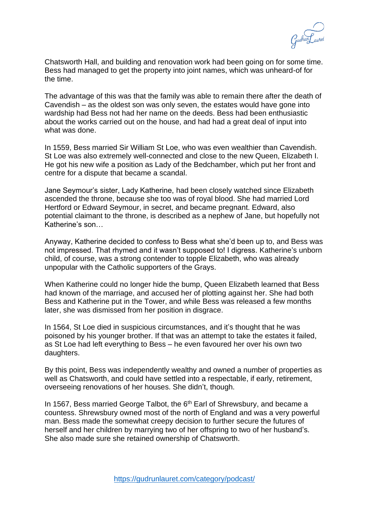

Chatsworth Hall, and building and renovation work had been going on for some time. Bess had managed to get the property into joint names, which was unheard-of for the time.

The advantage of this was that the family was able to remain there after the death of Cavendish – as the oldest son was only seven, the estates would have gone into wardship had Bess not had her name on the deeds. Bess had been enthusiastic about the works carried out on the house, and had had a great deal of input into what was done.

In 1559, Bess married Sir William St Loe, who was even wealthier than Cavendish. St Loe was also extremely well-connected and close to the new Queen, Elizabeth I. He got his new wife a position as Lady of the Bedchamber, which put her front and centre for a dispute that became a scandal.

Jane Seymour's sister, Lady Katherine, had been closely watched since Elizabeth ascended the throne, because she too was of royal blood. She had married Lord Hertford or Edward Seymour, in secret, and became pregnant. Edward, also potential claimant to the throne, is described as a nephew of Jane, but hopefully not Katherine's son…

Anyway, Katherine decided to confess to Bess what she'd been up to, and Bess was not impressed. That rhymed and it wasn't supposed to! I digress. Katherine's unborn child, of course, was a strong contender to topple Elizabeth, who was already unpopular with the Catholic supporters of the Grays.

When Katherine could no longer hide the bump, Queen Elizabeth learned that Bess had known of the marriage, and accused her of plotting against her. She had both Bess and Katherine put in the Tower, and while Bess was released a few months later, she was dismissed from her position in disgrace.

In 1564, St Loe died in suspicious circumstances, and it's thought that he was poisoned by his younger brother. If that was an attempt to take the estates it failed, as St Loe had left everything to Bess – he even favoured her over his own two daughters.

By this point, Bess was independently wealthy and owned a number of properties as well as Chatsworth, and could have settled into a respectable, if early, retirement, overseeing renovations of her houses. She didn't, though.

In 1567, Bess married George Talbot, the 6<sup>th</sup> Earl of Shrewsbury, and became a countess. Shrewsbury owned most of the north of England and was a very powerful man. Bess made the somewhat creepy decision to further secure the futures of herself and her children by marrying two of her offspring to two of her husband's. She also made sure she retained ownership of Chatsworth.